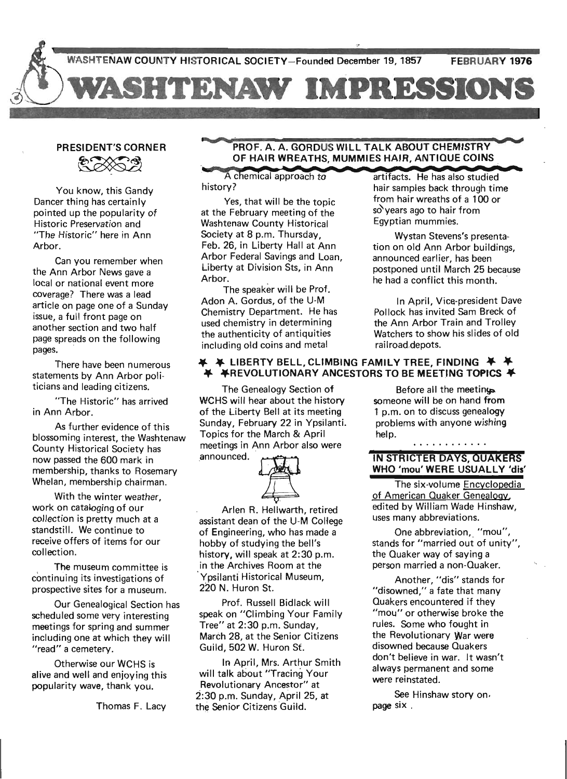## PRESIDENT'S CORNER SIDENT'S CORNER

You know, this Gandy Dancer thing has certain ly pointed up the popularity of Historic Preservation and "The Historic" here in Ann Arbor.

Can you remember when the Ann Arbor News gave a local or national event more coverage? There was a lead article on page one of a Sunday issue, a full front page on another section and two half page spreads on the following pages.

There have been numerous statements by Ann Arbor politicians and leading citizens.

"The Historic" has arrived in Ann Arbor.

As further evidence of this blossoming interest, the Washtenaw County Historical Society has now passed the 600 mark in membership, thanks to Rosemary Whelan, membership chairman.

With the winter weather, work on cataloging of our collection is pretty much at a standstill. We continue to receive offers of items for our collection.

The museum committee is continuing its investigations of prospective sites for a museum.

Our Genealogical Section has scheduled some very interesting meetings for spring and summer including one at which they will "read" a cemetery.

Otherwise our WCHS is alive and well and enjoying this popularity wave, thank you.

Thomas F. Lacy

## PROF. A. A. GORDUS WILL TALK ABOUT CHEMISTRY<br>OF HAIR WREATHS, MUMMIES HAIR, ANTIQUE COINS<br>A chemical approach to artifacts. He has also studies

Yes, that will be the topic at the February meeting of the Washtenaw County Historical Society at 8 p.m. Thursday, Feb. 26, in Liberty Hall at Ann Arbor Federal Savings and Loan, Liberty at Division Sts. in Ann Arbor.

The speaker will be Prof. Adon A. Gordus, of the U-M Chemistry Department. He has used chemistry in determining the authenticity of antiquities including old coins and metal

#### $\blacktriangleright$  LIBERTY BELL, CLIMBING FAMILY TREE, FINDING  $\blacktriangleright$ ¥REVOLUTIONARY ANCESTORS TO BE MEETING TOPICS ¥

help.

The Genealogy Section of WCHS will hear about the history of the Liberty Bell at its meeting Sunday, February 22 in Ypsilanti. Topics for the March & April meetings in Ann Arbor also were Topics for the March & April<br>meetings in Ann Arbor also were<br>announced.



Arlen R. Hellwarth, retired assistant dean of the U-M College of Engineering, who has made a hobby of studying the bell's history, will speak at 2:30 p.m. in the Archives Room at the Ypsilanti Historical Museum, 220 N. Huron St.

Prof. Russell Bidlack will speak on "Climbing Your Family Tree" at 2:30 p.m. Sunday, March 28, at the Senior Citizens Guild, 502 W. Huron St.

In April, Mrs. Arthur Smith will talk about "Tracing Your Revolutionary Ancestor" at . 2:30 p.m. Sunday, April 25, at the Senior Citizens Guild.

 $artifacts. He has also studied$ history? hair samples back through time from hair wreaths of a 100 or sd'years ago to hair from Egyptian mummies.

> Wystan Stevens's presentation on old Ann Arbor buildings, announced earlier, has been postponed until March 25 because he had a conflict this month.

> In April, Vice-president Dave Pollock has invited Sam Breck of the Ann Arbor Train and Trolley Watchers to show his slides of old . railroad,depots.

Before all the meeting someone will be on hand from 1 p.m. on to discuss genealogy problems with anyone wishing

#### IN STRICTER DAYS, QUAKERS WHO 'mou' WERE USUALLY 'dis'

. . . . . . . . . . . *.* 

The six-volume Encyclopedia of American Quaker Genealogy. edited by William Wade Hinshaw, uses many abbreviations.

One abbreviation, "mou", stands for "married out of unity", the Quaker way of saying a person married a non-Quaker.

Another, "dis" stands for "disowned," a fate that many Quakers encountered if they "mou" or otherwise broke the rules. Some who fought in the Revolutionary War were disowned because Quakers don't believe in war. It wasn't always permanent and some were reinstated.

See Hinshaw story on. page six.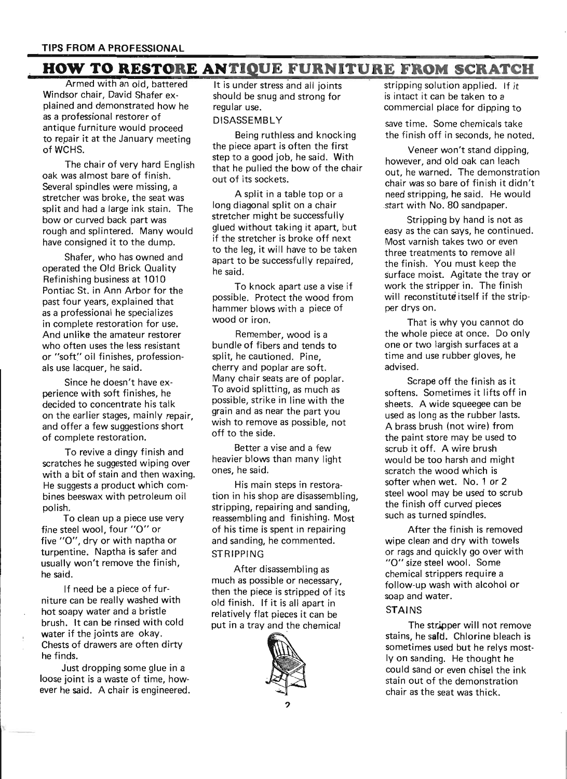### **HOW TO RESTORE ANTIQUE FURNITURE FROM SCRATCH**

Armed with an old, battered Windsor chair, David Shafer explained and demonstrated how he as a professional restorer of antique furniture would proceed to repair it at the January meeting of WCHS.

The chair of very hard English oak was almost bare of finish. Several spindles were missing, a stretcher was broke, the seat was split and had a large ink stain. The bow or curved back part was rough and splintered. Many would have consigned it to the dump.

Shafer, who has owned and operated the Old Brick Quality Refinishing business at 1010 Pontiac St. in Ann Arbor for the past four years, explained that as a professional he specializes in complete restoration for use. And unlike the amateur restorer who often uses the less resistant or "soft" oil finishes, professionals use lacquer, he said.

Since he doesn't have experience with soft finishes, he decided to concentrate his talk on the earlier stages, mainly repair, and offer a few suggestions short of complete restoration.

To revive a dingy finish and scratches he suggested wiping over with a bit of stain and then waxing. He suggests a product which combines beeswax with petroleum oil polish.

. To clean up a piece use very fine steel wool, four "0" or five "0", dry or with naptha or turpentine. Naptha is safer and usually won't remove the finish, he said.

If need be a piece of furniture can be really washed with hot soapy water and a bristle brush. It can be rinsed with cold water if the joints are okay. Chests of drawers are often dirty he finds.

Just dropping some glue in a loose joint is a waste of time, however he said; A chair is engineered.

It is under stress and all joints should be snug and strong for regular use.

#### DISASSEMBLY

Being ruthless and knocking the piece apart is often the first step to a good job, he said. With that he pulled the bow of the chair out of its sockets.

A split in a table top or a long diagonal split on a chair stretcher might be successfully glued without taking it apart, but if the stretcher is broke off next to the leg, it will have to be taken apart to be successfully repaired, he said.

To knock apart use a vise if possible. Protect the wood from hammer blows with a piece of wood or iron.

Remember, wood is a bundle of fibers and tends to split, he cautioned. Pine, cherry and poplar are soft. Many chair seats are of poplar. To avoid splitting, as much as possible, strike in line with the grain and as near the part you wish to remove as possible, not off to the side.

Better a vise and a few heavier blows than many light ones, he said.

His main steps in restoration in his shop are disassembling, stripping, repairing and sanding, reassembling and finishing. Most of his time is spent in repairing and sanding, he commented. **STRIPPING** 

After disassembling as much as possible or necessary, then the piece is stripped of its old finish. If it is all apart in relatively flat pieces it can be put in a tray and the chemical



stripping solution applied. If it is intact it can be taken to a commercial place for dipping to

save time. Some chemicals take the finish off in seconds, he noted.

Veneer won't stand dipping, however, and old oak can leach out, he warned. The demonstration chair was so bare of finish it didn't need stripping, he said. He would start with No. 80 sandpaper.

Stripping by hand is not as easy as the can says, he continued. Most varnish takes two or even three treatments to remove all the finish. You must keep the surface moist. Agitate the tray or work the stripper in. The finish will reconstitute itself if the stripper drys on.

That is why you cannot do the whole piece at once. Do only one or two largish surfaces at a time and use rubber gloves, he advised.

Scrape off the finish as it softens. Sometimes it lifts off in sheets. A wide squeegee can be used as long as the rubber lasts. A brass brush (not wire) from the paint store may be used to scrub it off. A wire brush would be too harsh and might scratch the wood which is softer when wet. No.1 or 2 steel wool may be used to scrub the finish off curved pieces such as turned spindles.

After the finish is removed wipe clean and dry with towels or rags and quickly go over with "0" size steel wool. Some chemical strippers require a follow-up wash with alcohol or soap and water.

#### **STAINS**

The strjpper will not remove stains, he sald. Chlorine bleach is sometimes used but he relys mostly on sanding. He thought he could sand or even chisel the ink stain out of the demonstration chair as the seat was thick.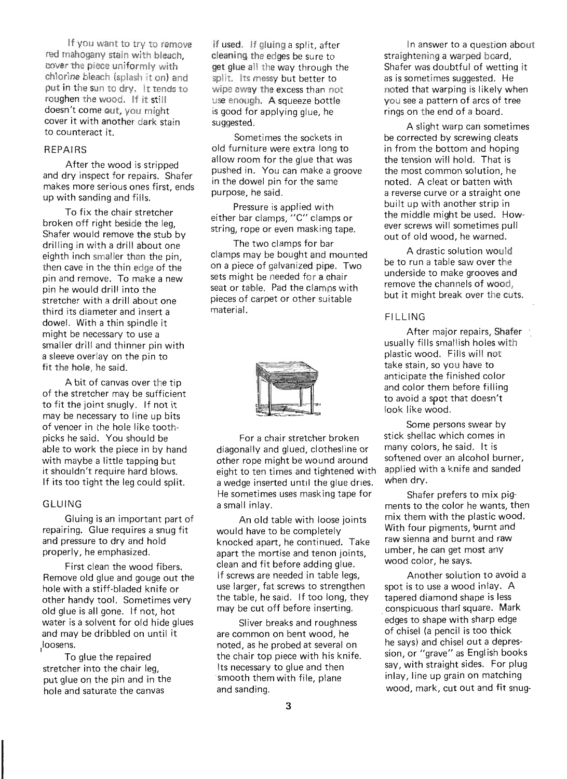If you want to try to remove red mahogany stain with bleach cover the piece uniformly with' chlorine bleach (splash it on) and put in the sun to dry. It tends to roughen the wood. If it still doesn't come gut, you might cover it with another dark stain to counteract it.

#### **REPAIRS**

After the wood is stripped and dry inspect for repairs. Shafer makes more serious ones first, ends up with sanding and fills.

To fix the chair stretcher broken off right beside the leg, Shafer would remove the stub by drilling in with a drill about one eighth inch smaller than the pin, then cave in the thin edge of the pin and remove. To make a new pin he would drill into the stretcher with a drill about one third its diameter and insert a dowel. With a thin spindle it might be necessary to use a smaller drill and thinner pin with a sleeve overlay on the pin to fit the hole, he said.

A bit of canvas over the tip of the stretcher may be sufficient to fit the joint snugly. If not it may be necessary to line up bits of veneer in the hole like toothpicks he said. You should be able to work the piece in by hand with maybe a little tapping but it shouldn't require hard blows. If its too tight the leg could split.

#### GLUING

Gluing is an important part of repairing. Glue requires a snug fit and pressure to dry and hold properly, he emphasized.

First clean the wood fibers. Remove old glue and gouge out the hole with a stiff-bladed knife or other handy tool. Sometimes very old glue is all gone. If not, hot water is a solvent for old hide glues and may be dribbled on until it Iloosens.

To glue the repaired stretcher into the chair leg, put glue on the pin and in the hole and saturate the canvas

if used. If gluing a split, after cleaning the edges be sure to get glue all the way through the split. Its messy but better to wipe away the excess than not use enough. A squeeze bottle is good for applying glue, he suggested.

Sometimes the sockets in old furniture were extra long to allow room for the glue that was pushed in. You can make a groove in the dowel pin for the same purpose, he said.

Pressure is applied with either bar clamps, "C" clamps or string, rope or even masking tape.

The two clamps for bar clamps may be bought and mounted on a piece of galvanized pipe. Two sets might be needed for a chair seat or table. Pad the clamps with pieces of carpet or other suitable material.



For a chair stretcher broken diagonally and glued, clothesline or other rope might be wound around eight to ten times and tightened with a wedge inserted until the glue dries. He sometimes uses masking tape for a small inlay.

An old table with loose joints would have to be completely knocked apart, he continued. Take apart the mortise and tenon joints, clean and fit before adding glue. If screws are needed in table legs, use larger, fat screws to strengthen the table, he said. If too long, they may be cut off before inserting.

Sliver breaks and roughness are common on bent wood, he noted, as he probed at several on the chair top piece with his knife. Its necessary to glue and then smooth them with file, plane and sanding.

In answer to a question about straightening a warped board, Shafer was doubtful of wetting it as is sometimes suggested. He noted that warping is likely when you see a pattern of arcs of tree rings on the end of a board.

A slight warp can sometimes be corrected by screwing cleats in from the bottom and hoping the tension will hold. That is the most common solution, he noted. A cleat or batten with a reverse curve or a straight one built up with another strip in the middle might be used. However screws will sometimes pull out of old wood, he warned.

A drastic solution would be to run a table saw over the underside to make grooves and remove the channels of wood, but it might break over the cuts.

#### **FILLING**

After major repairs, Shafer usually fills smallish holes with plastic wood. Fills will not take stain, so you have to anticipate the finished color and color them before filling to avoid a spot that doesn't look like wood.

Some persons swear by stick shellac which comes in many colors, he said. It is softened over an alcohol burner, applied with a knife and sanded when dry.

Shafer prefers to mix pigments to the color he wants, then mix them with the plastic wood. With four pigments, burnt and raw sienna and burnt and raw umber, he can get most any wood color, he says.

Another solution to avoid a spot is to use a wood inlay. A tapered diamond shape is less conspicuous than square. Mark edges to shape with sharp edge of chisel (a pencil is too thick he says) and chisel out a depression, or "grave" as English books say, with straight sides. For plug inlay, line up grain on matching wood, mark, cut out and fit snug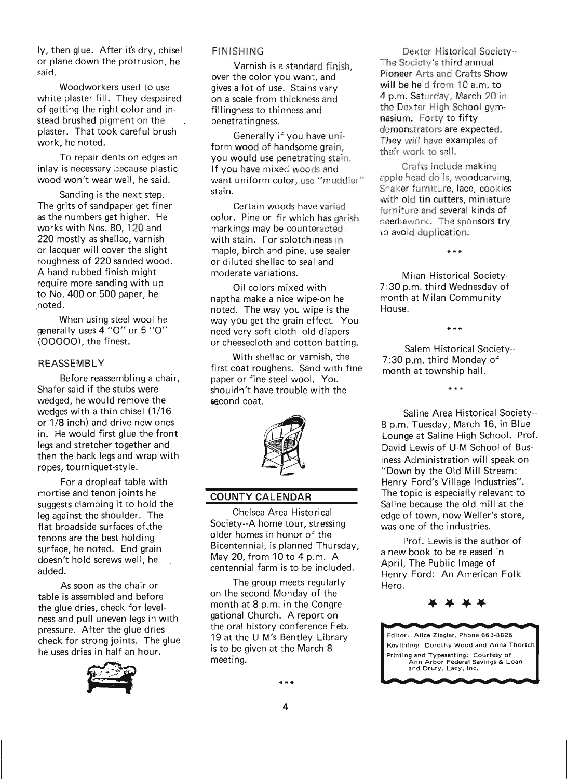Iy, then glue. After it's dry, chisel or plane down the protrusion, he said.

Woodworkers used to use white plaster fill. They despaired of getting the right color and instead brushed pigment on the plaster. That took careful brushwork, he noted.

To repair dents on edges an inlay is necessary because plastic wood won't wear well, he said.

Sanding is the next step. The grits of sandpaper get finer as the numbers get higher. He works with Nos. 80, 120 and 220 mostly as shellac, varnish or lacquer will cover the slight roughness of 220 sanded wood. A hand rubbed finish might require more sanding with up .to No. 400 or 500 paper, he noted.

When using steel wool he generally uses 4 "0" or 5 "0" 100000), the finest.

#### REASSEMBLY

Before reassembling a chair, Shafer said if the stubs were wedged, he would remove the wedges with a thin chisel (1/16 or 1/8 inch) and drive new ones in. He would first glue the front legs and stretcher together and then the back legs and wrap with ropes, tourniquet-style.

For a dropleaf table with mortise and tenon joints he suggests clamping it to hold the leg against the shoulder. The flat broadside surfaces of,the tenons are the best holding surface, he noted. End grain doesn't hold screws well, he added.

As soon as the chair or table is assembled and before the glue dries, check for levelness and pull uneven legs in with pressure. After the glue dries check for strong joints. The glue<br>he uses dries in half an hour. he uses dries in half an hour.



#### FINISHING

Varnish is a standard finish, over the color you want, and gives a lot of use. Stains vary on a scale from thickness and fillingness to thinness and penetratingness.

Generally if you have uniform wood of handsome grain. you would use penetrating stain. If you have mixed woods and want uniform color, use "muddier" stain.

Certain woods have varied color. Pine or fir which has garish markings may be counteracted , with stain. For splotchiness in maple, birch and pine, use sealer or diluted shellac to seal and moderate variations.

Oil colors mixed with naptha make a nice wipe-on he noted. The way you wipe is the way you get the grain effect. You need very soft cloth--old diapers or cheesecloth and cotton batting.

With shellac or varnish, the first coat roughens. Sand with fine paper or fine steel wool. You shouldn't have trouble with the second coat.



#### COUNTY CALENDAR

Chelsea Area Historical Society--A home tour, stressing older homes in honor of the Bicentennial, is planned Thursday, May 20, from 10 to 4 p.m. A centennial farm is to be included.

The group meets regularly on the second Monday of the month at 8 p.m. in the Congregational Church. A report on the oral history conference Feb. 19 at the U-M's Bentley Library is to be given at the March 8 meeting.

Dexter Historical Society-- The Society's third annual Pioneer Arts and Crafts Show will be held from 10 a.m. to 4 p.m. Saturday, March 20 in the Dexter High School gymnasium. Forty to fifty demonstrators are expected. They will have examples of their work to sell.

Crafts include making apple head dolls, woodcarving, Shaker furniture, lace, cookies with old tin cutters, miniature furniture and several kinds of needlework. The sponsors try to avoid duplication.

Milan Historical Society-- 7 :30 p.m. third Wednesday of month at Milan Community House.

\*\*\*

Salem Historical Society-- 7:30 p.m. third Monday of month at township hall.

\*\*\*

\*\*\*

Saline Area Historical Society-- 8 p.m. Tuesday, March 16, in Blue Lounge at Saline High School. Prof. David Lewis of U-M School of Business Administration will speak on "Down by the Old Mill Stream: Henry Ford's Village Industries". The topic is especially relevant to Saline because the old mill at the edge of town, now Weller's store, was one of the industries.

Prof. Lewis is the author of a new book to be released in April, The Public Image of Henry Ford: An American Folk Hero.



Editor: Alice Ziegler, Phone 663·8826 Keyllnlng: Dorothy Wood and Anna Thorsch Printing and Typesetting: Courtesy of Ann Arbor Federal Savings & Loan and Drury, Lacy, Inc.

4

\*\*\*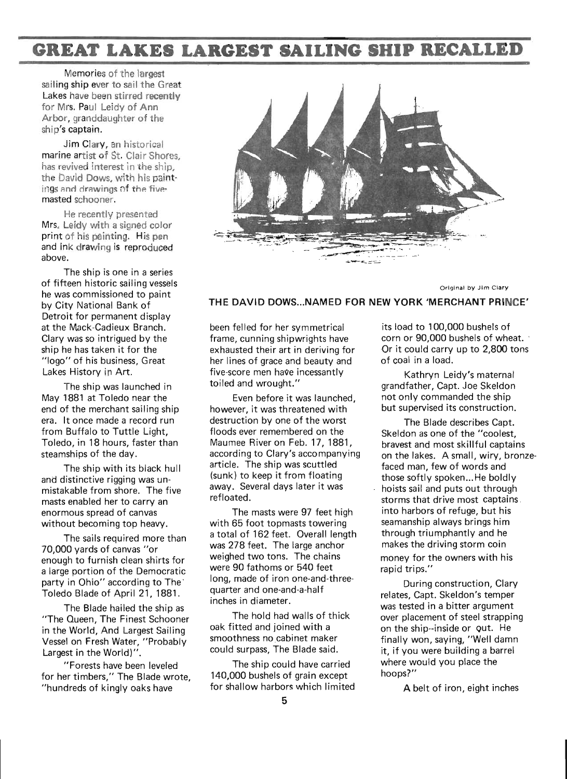### **GREAT LAKES LARGEST SAILING SHIP RECALLED**

Memories of the largest sailing ship ever to sail the Great Lakes have been stirred recently for Mrs. Paul Leidy of Ann Arbor, granddaughter of the ship's captain.

Jim Clary, an historical marine artist of St. Clair Shores, has revived interest in the ship, the David Dows, with his paintings and drawings of the fivemasted schooner.

He recently presented Mrs. Leidy with a signed color print of his painting. His pen and ink drawing is reproduced above.

The ship is one in a series of fifteen historic sailing vessels he was commissioned to paint by City National Bank of Detroit for permanent display at the Mack-Cadieux Branch. Clary was so intrigued by the ship he has taken it for the "Iogo" of his business, Great Lakes History in Art.

The ship was launched in May 1881 at Toledo near the end of the merchant sailing ship era. It once made a record run from Buffalo to Tuttle Light, Toledo, in 18 hours, faster than steamships of the day.

The ship with its black hull and distinctive rigging was unmistakable from shore. The five masts enabled her to carry an enormous spread of canvas without becoming top heavy.

The sails required more than 70,000 yards of canvas "or enough to furnish clean shirts for a large portion of the Democratic party in Ohio" according to The<sup>-</sup> Toledo Blade of April 21, 1881.

The Blade hailed the ship as "The Queen, The Finest Schooner in the World, And Largest Sailing Vessel on Fresh Water, "Probably Largest in the World)".

"Forests have been leveled for her timbers," The Blade wrote, "hundreds of kingly oaks have



Original by Jim Clary

#### THE DAVID DOWS... NAMED FOR NEW YORK 'MERCHANT PRINCE'

been felled for her symmetrical frame, cunning shipwrights have exhausted their art in deriving for her lines of grace and beauty and five-score men have incessantly toiled and wrought."

Even before it was launched, however, it was threatened with destruction by one of the worst floods ever remembered on the Maumee River on Feb. 17, 1881, according to Clary's accompanying article. The ship was scuttled (sunk) to keep it from floating away. Several days later it was refloated.

The masts were 97 feet high with 65 foot topmasts towering a total of 162 feet. Overall length was 278 feet. The large anchor weighed two tons. The chains were 90 fathoms or 540 feet long, made of iron one-and-threequarter and one-and-a-half inches in diameter.

The hold had walls of thick oak fitted and joined with a smoothness no cabinet maker could surpass, The Blade said.

The ship could have carried 140,000 bushels of grain except for shallow harbors which limited

its load to 100,000 bushels of corn or 90,000 bushels of wheat. Or it could carry up to 2,800 tons of coal in a load.

Kathryn Leidy's maternal grandfather, Capt. Joe Skeldon not only commanded the ship but supervised its construction.

The Blade describes Capt. Skeldon as one of the "coolest, bravest and most skillful captains on the lakes. A small, wiry, bronzefaced man, few of words and those softly spoken... He boldly hoists sail and puts out through storms that drive most captains. into harbors of refuge, but his seamanship always brings him through triumphantly and he makes the driving storm coin money for the owners with his rapid trips."

During construction, Clary relates, Capt. Skeldon's temper was tested in a bitter argument over placement of steel strapping on the ship--inside or Qut. He finally won, saying, "Well damn it, if you were building a barrel where would you place the hoops?"

A belt of iron, eight inches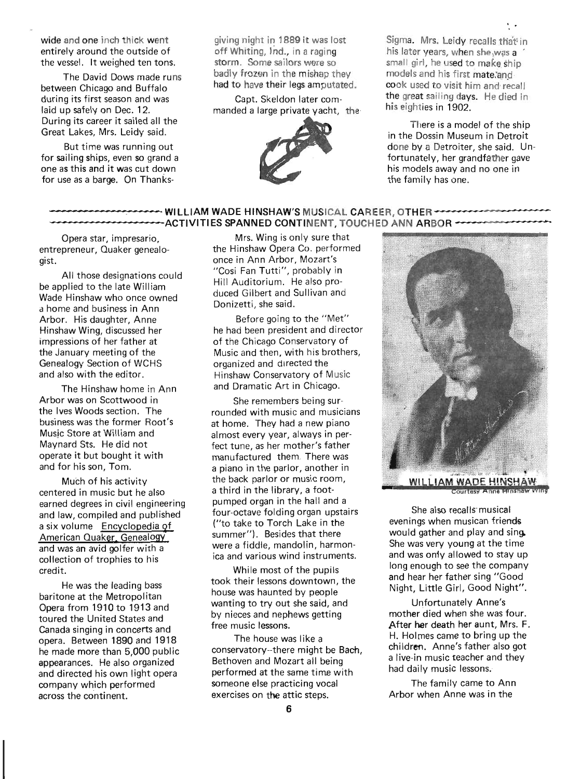wide and one inch thick went entirely around the outside of the vessel. It weighed ten tons.

The David Dows made runs between Chicago and Buffalo during its first season and was laid up safely on Dec. 12. During its career it sailed all the Great Lakes, Mrs. Leidy said.

But time was running out for sailing ships, even so grand a one as this and it was cut down for use as a barge. On Thanksgiving night in 1889 it was lost off Whiting, Ind., in a raging storm. Some sailors were so badly frozen in the mishap they had to have their legs amputated.

Capt. Skeldon later commanded a large private yacht, the



Sigma. Mrs. Leidy recalls that in his later years, when she was a ' small girl, he used to make ship models and his first mate:and cook used to visit him and recall the great sailing days. He died in his eighties in 1902.

. .

There is a model of the ship in the Dossin Museum in Detroit done by a Detroiter, she said. Unfortunately, her grandfather gave his models away and no one in the family has one.

# -----------WILLlAM WADE HINSHAW'S MUSICAL CAREER OTHER------------- ------------.. - ACTIVITIES SPANNED CONTINENT, TOUCHED ANN ARBOR -------------

Opera star, impresario, entrepreneur, Quaker genealogist.

All those designations could be applied to the late William Wade Hinshaw who once owned a home and business in Ann Arbor. His daughter, Anne Hinshaw Wing, discussed her impressions of her father at the January meeting of the Genealogy Section of WCHS and also with the editor.

The Hinshaw home in Ann Arbor was on Scottwood in the Ives Woods section. The business was the former Root's Music Store at William and Maynard Sts. He did not operate it but bought it with and for his son, Tom.

Much of his activity centered in music but he also earned degrees in civil engineering and law, compiled and published a six volume Encyclopedia of American Quaker, Genealogy and was an avid golfer with a collection of trophies to his credit.

He was the leading bass baritone at the Metropolitan Opera from 1910 to 1913 and toured the United States and Canada singing in concerts and opera. Between 1890 and 1918 he made more than 5,000 public appearances. He also organized and directed his own light opera company which performed across the continent.

Mrs. Wing is only sure that the Hinshaw Opera Co. performed once in Ann Arbor, Mozart's "Cosi Fan Tutti", probably in Hill Auditorium. He also produced Gilbert and Sullivan and Donizetti, she said.

Before going to the "Met" he had been president and director of the Chicago Conservatory of Music and then, with his brothers, organized and dIrected the Hinshaw Conservatory of Music and Dramatic Art in Chicago.

She remembers being surrounded with music and musicians at home. They had a new piano almost every year, always in perfect tune, as her mother's father manufactured them. There was a piano in the parlor, another in the back parlor or music room, a third in the library, a footpumped organ in the hall and a four-octave folding organ upstairs ("to take to Torch Lake in the summer"). Besides that there were a fiddle, mandolin, harmonica and various wind instruments.

While most of the pupils took their lessons downtown, the house was haunted by people wanting to try out she said, and by nieces and nephews getting free music lessons.

The house was like a conservatory--there might be Bach, Bethoven and Mozart all being performed at the same time with someone else practicing vocal exercises on the attic steps.



ourtesy Anne M

She also recalls musical evenings when musican friends would gather and play and sing. She was very young at the time and was only allowed to stay up long enough to see the company and hear her father sing "Good Night, Little Girl, Good Night".

Unfortunately Anne's mother died when she was four. After her death her aunt, Mrs. F. H. Holmes came to bring up the children. Anne's father also got a live-in music teacher and they had daily music lessons:

The family came to Ann Arbor when Anne was in the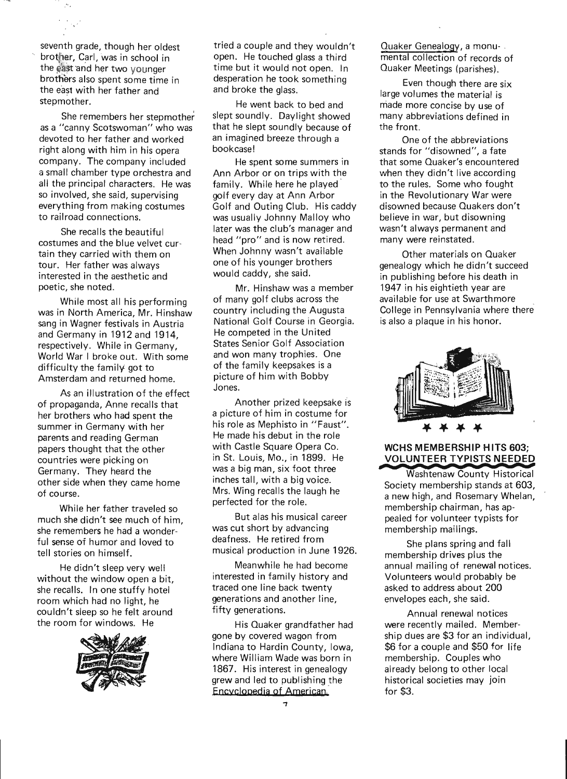seventh grade, though her oldest brother, Carl, was in school in the east and her two younger brothers also spent some time in the east with her father and stepmother.

ż.

She remembers her stepmother as a "canny Scotswoman" who was devoted to her father and worked right along with him in his opera company. The company included a small chamber type orchestra and all the principal characters. He was so involved, she said, supervising everything from making costumes to railroad connections.

She recalls the beautiful costumes and the blue velvet curtain they carried with them on tour. Her father was always interested in the aesthetic and poetic, she noted.

While most all his performing was in North America, Mr. Hinshaw sang in Wagner festivals in Austria and Germany in 1912 and 1914, respectively. While in Germany, World War I broke out. With some difficulty the family got to Amsterdam and returned home.

As an illustration of the effect of propaganda, Anne recalls that her brothers who had spent the summer in Germany with her parents and reading German papers thought that the other countries were picking on Germany. They heard the other side when they came home of course.

While her father traveled so much she didn't see much of him, she remembers he had a wonderful sense of humor and loved to tell stories on himself.

He didn't sleep very well without the window open a bit, she recalls. In one stuffy hotel room which had no light, he couldn't sleep so he felt around the room for windows. He



tried a couple and they wouldn't open. He touched glass a third time but it would not open. In desperation he took something and broke the glass.

He went back to bed and slept soundly. Daylight showed that he slept soundly because of an imagined breeze through a bookcase!

He spent some summers in Ann Arbor or on trips with the family. While here he played golf every day at Ann Arbor Golf and Outing Club. His caddy was usually Johnny Malloy who later was the club's manager and head "pro" and is now retired. When Johnny wasn't available one of his younger brothers would caddy, she said.

Mr. Hinshaw was a member of many golf clubs across the country including the Augusta National Golf Course in Georgia. He competed in the United States Senior Golf Association and won many trophies. One of the family keepsakes is a picture of him with Bobby Jones.

Another prized keepsake is a picture of him in costume for his role as Mephisto in "Faust". He made his debut in the role with Castle Square Opera Co. in St. Louis, Mo., in 1899. He was a big man, six foot three inches tall, with a big voice. Mrs. Wing recalls the laugh he perfected for the role.

But alas his musical career was cut short by advancing deafness. He retired from musical production in June 1926.

Meanwhile he had become interested in family history and traced one line back twenty generations and another line, fifty generations.

His Quaker grandfather had gone by covered wagon from Indiana to Hardin County, Iowa, where William Wade was born in 1867. His interest in genealogy grew and led to publishing the Encyclopedia of American

Quaker Genealogy, a monu-. mental collection of records of Quaker Meetings (parishes).

Even though there are six large volumes the material is made more concise by use of many abbreviations defined in the front.

One of the abbreviations stands for "disowned", a fate that some Quaker's encountered when they didn't live according to the rules. Some who fought in the Revolutionary War were disowned because Quakers don't believe in war, but disowning wasn't always permanent and many were reinstated.

Other materials on Quaker genealogy which he didn't succeed in publishing before his death in 1947 in his eightieth year are available for use at Swarthmore College in Pennsylvania where there is also a plaque in his honor.



## **VOLUNTEER TYPISTS NEEDED**

**Washtenaw County Historical** Society membership stands at 603, a new high, and Rosemary Whelan, membership chairman, has appealed for volunteer typists for membership mailings.

She plans spring and fall membership drives plus the annual mailing of renewal notices. Volunteers would probably be asked to address about 200 envelopes each, she said.

Annual renewal notices were recently mailed. Membership dues are \$3 for an individual, \$6 for a couple and \$50 for life membership. Couples who already belong to other local historical societies may join for \$3.